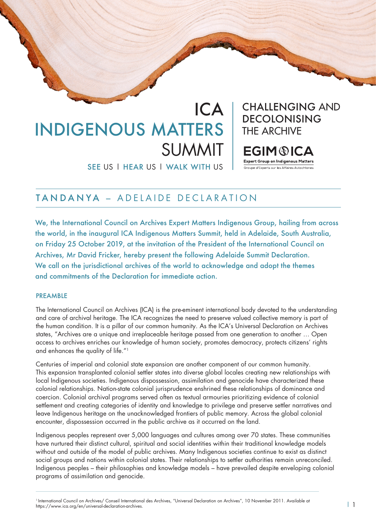## ICA INDIGENOUS MATTERS SUMMIT

SEE US | HEAR US | WALK WITH US

CHALLENGING AND DECOLONISING THE ARCHIVE

**EGIM®ICA** 

**Expert Group on Indigenous Matters** Groupe d'Experts sur les Affaires Autochtone

## TANDANYA – ADELAIDE DECLARATION

We, the International Council on Archives Expert Matters Indigenous Group, hailing from across the world, in the inaugural ICA Indigenous Matters Summit, held in Adelaide, South Australia, on Friday 25 October 2019, at the invitation of the President of the International Council on Archives, Mr David Fricker, hereby present the following Adelaide Summit Declaration. We call on the jurisdictional archives of the world to acknowledge and adopt the themes and commitments of the Declaration for immediate action.

## **PREAMBLE**

The International Council on Archives (ICA) is the pre-eminent international body devoted to the understanding and care of archival heritage. The ICA recognizes the need to preserve valued collective memory is part of the human condition. It is a pillar of our common humanity. As the ICA's Universal Declaration on Archives states, "Archives are a unique and irreplaceable heritage passed from one generation to another … Open access to archives enriches our knowledge of human society, promotes democracy, protects citizens' rights and enhances the quality of life."1

Centuries of imperial and colonial state expansion are another component of our common humanity. This expansion transplanted colonial settler states into diverse global locales creating new relationships with local Indigenous societies. Indigenous dispossession, assimilation and genocide have characterized these colonial relationships. Nation-state colonial jurisprudence enshrined these relationships of dominance and coercion. Colonial archival programs served often as textual armouries prioritizing evidence of colonial settlement and creating categories of identity and knowledge to privilege and preserve settler narratives and leave Indigenous heritage on the unacknowledged frontiers of public memory. Across the global colonial encounter, dispossession occurred in the public archive as it occurred on the land.

Indigenous peoples represent over 5,000 languages and cultures among over 70 states. These communities have nurtured their distinct cultural, spiritual and social identities within their traditional knowledge models without and outside of the model of public archives. Many Indigenous societies continue to exist as distinct social groups and nations within colonial states. Their relationships to settler authorities remain unreconciled. Indigenous peoples – their philosophies and knowledge models – have prevailed despite enveloping colonial programs of assimilation and genocide.

<sup>1</sup> International Council on Archives/ Conseil International des Archives, "Universal Declaration on Archives", 10 November 2011. Available at https://www.ica.org/en/universal-declaration-archives. Butter of the surface of the characters of the characters of the https://www.ica.org/en/universal-declaration-archives.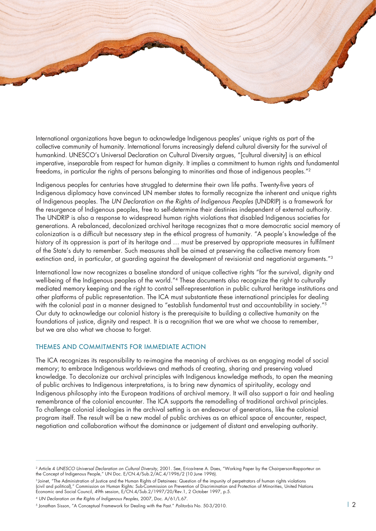International organizations have begun to acknowledge Indigenous peoples' unique rights as part of the collective community of humanity. International forums increasingly defend cultural diversity for the survival of humankind. UNESCO's Universal Declaration on Cultural Diversity argues, "[cultural diversity] is an ethical imperative, inseparable from respect for human dignity. It implies a commitment to human rights and fundamental freedoms, in particular the rights of persons belonging to minorities and those of indigenous peoples."2

Indigenous peoples for centuries have struggled to determine their own life paths. Twenty-five years of Indigenous diplomacy have convinced UN member states to formally recognize the inherent and unique rights of Indigenous peoples. The *UN Declaration on the Rights of Indigenous Peoples* (UNDRIP) is a framework for the resurgence of Indigenous peoples, free to self-determine their destinies independent of external authority. The UNDRIP is also a response to widespread human rights violations that disabled Indigenous societies for generations. A rebalanced, decolonized archival heritage recognizes that a more democratic social memory of colonization is a difficult but necessary step in the ethical progress of humanity. "A people's knowledge of the history of its oppression is part of its heritage and … must be preserved by appropriate measures in fulfilment of the State's duty to remember. Such measures shall be aimed at preserving the collective memory from extinction and, in particular, at guarding against the development of revisionist and negationist arguments."<sup>3</sup>

International law now recognizes a baseline standard of unique collective rights "for the survival, dignity and well-being of the Indigenous peoples of the world."4 These documents also recognize the right to culturally mediated memory keeping and the right to control self-representation in public cultural heritage institutions and other platforms of public representation. The ICA must substantiate these international principles for dealing with the colonial past in a manner designed to "establish fundamental trust and accountability in society."<sup>5</sup> Our duty to acknowledge our colonial history is the prerequisite to building a collective humanity on the foundations of justice, dignity and respect. It is a recognition that we are what we choose to remember, but we are also what we choose to forget.

## THEMES AND COMMITMENTS FOR IMMEDIATE ACTION

The ICA recognizes its responsibility to re-imagine the meaning of archives as an engaging model of social memory; to embrace Indigenous worldviews and methods of creating, sharing and preserving valued knowledge. To decolonize our archival principles with Indigenous knowledge methods, to open the meaning of public archives to Indigenous interpretations, is to bring new dynamics of spirituality, ecology and Indigenous philosophy into the European traditions of archival memory. It will also support a fair and healing remembrance of the colonial encounter. The ICA supports the remodelling of traditional archival principles. To challenge colonial ideologies in the archival setting is an endeavour of generations, like the colonial program itself. The result will be a new model of public archives as an ethical space of encounter, respect, negotiation and collaboration without the dominance or judgement of distant and enveloping authority.

<sup>&</sup>lt;sup>2</sup> Article 4 UNESCO Universal Declaration on Cultural Diversity, 2001. See, Erica-Irene A. Daes, "Working Paper by the Chairperson-Rapporteur on the Concept of Indigenous People," UN Doc. E/CN.4/Sub.2/AC.4/1996/2 (10 June 1996).

<sup>3</sup> Joinet, "The Administration of Justice and the Human Rights of Detainees: Question of the impunity of perpetrators of human rights violations (civil and political)," Commission on Human Rights: Sub-Commission on Prevention of Discrimination and Protection of Minorities, United Nations Economic and Social Council, 49th session, E/CN.4/Sub.2/1997/20/Rev.1, 2 October 1997, p.5.

<sup>4</sup> *UN Declaration on the Rights of Indigenous Peoples*, 2007, Doc. A/61/L.67.

<sup>5</sup> Jonathan Sisson, "A Conceptual Framework for Dealing with the Past." *Politorbis* No. 50-3/2010. | 2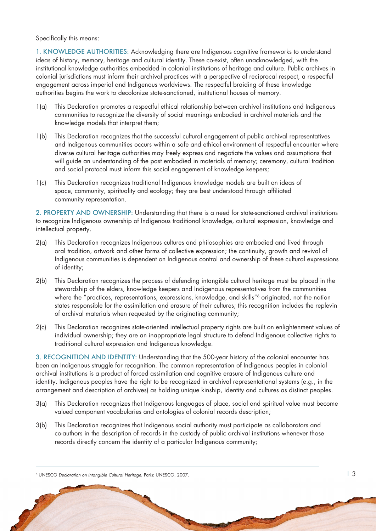Specifically this means:

1. KNOWLEDGE AUTHORITIES: Acknowledging there are Indigenous cognitive frameworks to understand ideas of history, memory, heritage and cultural identity. These co-exist, often unacknowledged, with the institutional knowledge authorities embedded in colonial institutions of heritage and culture. Public archives in colonial jurisdictions must inform their archival practices with a perspective of reciprocal respect, a respectful engagement across imperial and Indigenous worldviews. The respectful braiding of these knowledge authorities begins the work to decolonize state-sanctioned, institutional houses of memory.

- 1(a) This Declaration promotes a respectful ethical relationship between archival institutions and Indigenous communities to recognize the diversity of social meanings embodied in archival materials and the knowledge models that interpret them;
- 1(b) This Declaration recognizes that the successful cultural engagement of public archival representatives and Indigenous communities occurs within a safe and ethical environment of respectful encounter where diverse cultural heritage authorities may freely express and negotiate the values and assumptions that will guide an understanding of the past embodied in materials of memory; ceremony, cultural tradition and social protocol must inform this social engagement of knowledge keepers;
- 1(c) This Declaration recognizes traditional Indigenous knowledge models are built on ideas of space, community, spirituality and ecology; they are best understood through affiliated community representation.

2. PROPERTY AND OWNERSHIP: Understanding that there is a need for state-sanctioned archival institutions to recognize Indigenous ownership of Indigenous traditional knowledge, cultural expression, knowledge and intellectual property.

- 2(a) This Declaration recognizes Indigenous cultures and philosophies are embodied and lived through oral tradition, artwork and other forms of collective expression; the continuity, growth and revival of Indigenous communities is dependent on Indigenous control and ownership of these cultural expressions of identity;
- 2(b) This Declaration recognizes the process of defending intangible cultural heritage must be placed in the stewardship of the elders, knowledge keepers and Indigenous representatives from the communities where the "practices, representations, expressions, knowledge, and skills"<sup>6</sup> originated, not the nation states responsible for the assimilation and erasure of their cultures; this recognition includes the replevin of archival materials when requested by the originating community;
- 2(c) This Declaration recognizes state-oriented intellectual property rights are built on enlightenment values of individual ownership; they are an inappropriate legal structure to defend Indigenous collective rights to traditional cultural expression and Indigenous knowledge.

3. RECOGNITION AND IDENTITY: Understanding that the 500-year history of the colonial encounter has been an Indigenous struggle for recognition. The common representation of Indigenous peoples in colonial archival institutions is a product of forced assimilation and cognitive erasure of Indigenous culture and identity. Indigenous peoples have the right to be recognized in archival representational systems (e.g., in the arrangement and description of archives) as holding unique kinship, identity and cultures as distinct peoples.

- 3(a) This Declaration recognizes that Indigenous languages of place, social and spiritual value must become valued component vocabularies and ontologies of colonial records description;
- 3(b) This Declaration recognizes that Indigenous social authority must participate as collaborators and co-authors in the description of records in the custody of public archival institutions whenever those records directly concern the identity of a particular Indigenous community;

<sup>6</sup> UNESCO *Declaration on Intangible Cultural Heritage*, Paris: UNESCO, 2007. | 3